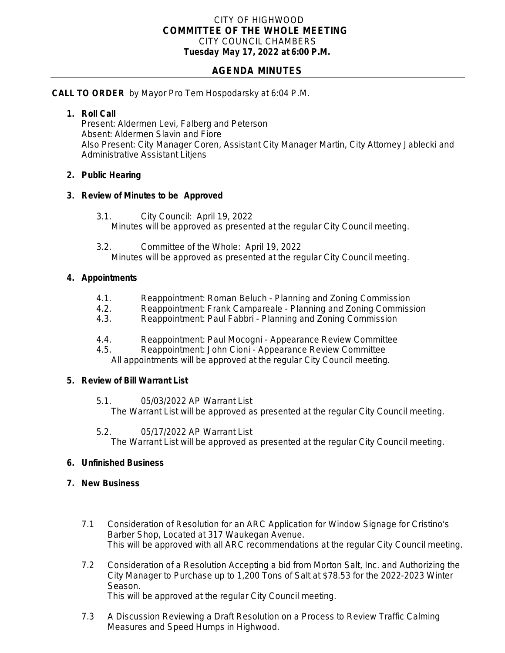## CITY OF HIGHWOOD *COMMITTEE OF THE WHOLE MEETING* CITY COUNCIL CHAMBERS **Tuesday May 17, 2022 at 6:00 P.M.**

# **AGENDA MINUTES**

## **CALL TO ORDER** by Mayor Pro Tem Hospodarsky at 6:04 P.M.

### **1. Roll Call**

Present: Aldermen Levi, Falberg and Peterson Absent: Aldermen Slavin and Fiore Also Present: City Manager Coren, Assistant City Manager Martin, City Attorney Jablecki and Administrative Assistant Litjens

### **2. Public Hearing**

### **3. Review of Minutes to be Approved**

- 3.1. City Council: April 19, 2022 Minutes will be approved as presented at the regular City Council meeting.
- 3.2. Committee of the Whole: April 19, 2022 Minutes will be approved as presented at the regular City Council meeting.

### **4. Appointments**

- 4.1. Reappointment: Roman Beluch Planning and Zoning Commission<br>4.2. Reappointment: Frank Campareale Planning and Zoning Commiss
- 4.2. Reappointment: Frank Campareale Planning and Zoning Commission
- 4.3. Reappointment: Paul Fabbri Planning and Zoning Commission
- 4.4. Reappointment: Paul Mocogni Appearance Review Committee
- 4.5. Reappointment: John Cioni Appearance Review Committee All appointments will be approved at the regular City Council meeting.

#### **5. Review of Bill Warrant List**

5.1. 05/03/2022 AP Warrant List

The Warrant List will be approved as presented at the regular City Council meeting.

5.2. 05/17/2022 AP Warrant List The Warrant List will be approved as presented at the regular City Council meeting.

## **6. Unfinished Business**

## **7. New Business**

- 7.1 Consideration of Resolution for an ARC Application for Window Signage for Cristino's Barber Shop, Located at 317 Waukegan Avenue. This will be approved with all ARC recommendations at the regular City Council meeting.
- 7.2 Consideration of a Resolution Accepting a bid from Morton Salt, Inc. and Authorizing the City Manager to Purchase up to 1,200 Tons of Salt at \$78.53 for the 2022-2023 Winter Season. This will be approved at the regular City Council meeting.
- 7.3 A Discussion Reviewing a Draft Resolution on a Process to Review Traffic Calming Measures and Speed Humps in Highwood.